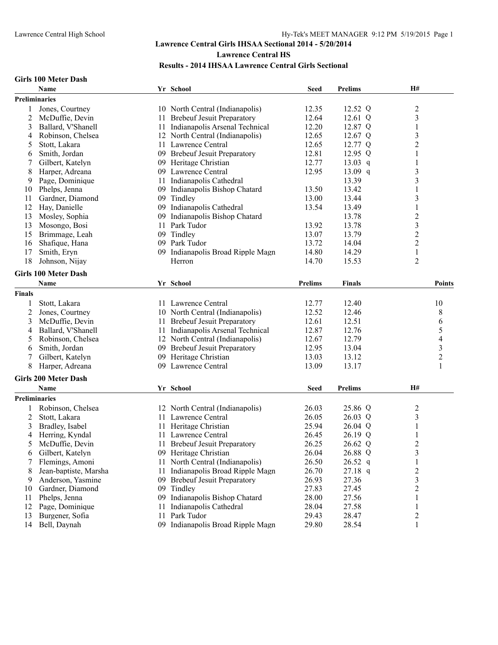#### **Girls 100 Meter Dash**

|               | Name                        |     | Yr School                         | <b>Seed</b>    | <b>Prelims</b> | H#                      |  |
|---------------|-----------------------------|-----|-----------------------------------|----------------|----------------|-------------------------|--|
|               | <b>Preliminaries</b>        |     |                                   |                |                |                         |  |
|               | Jones, Courtney             |     | 10 North Central (Indianapolis)   | 12.35          | 12.52 Q        | $\boldsymbol{2}$        |  |
| 2             | McDuffie, Devin             |     | 11 Brebeuf Jesuit Preparatory     | 12.64          | 12.61 Q        | $\overline{\mathbf{3}}$ |  |
| 3             | Ballard, V'Shanell          |     | 11 Indianapolis Arsenal Technical | 12.20          | 12.87 Q        | $\mathbf{1}$            |  |
| 4             | Robinson, Chelsea           |     | 12 North Central (Indianapolis)   | 12.65          | 12.67 Q        | 3                       |  |
| 5             | Stott, Lakara               |     | 11 Lawrence Central               | 12.65          | 12.77 Q        | $\overline{c}$          |  |
| 6             | Smith, Jordan               |     | 09 Brebeuf Jesuit Preparatory     | 12.81          | 12.95 $Q$      | 1                       |  |
|               | Gilbert, Katelyn            |     | 09 Heritage Christian             | 12.77          | $13.03$ q      | 1                       |  |
| 8             | Harper, Adreana             |     | 09 Lawrence Central               | 12.95          | 13.09 q        | 3                       |  |
| 9             | Page, Dominique             |     | 11 Indianapolis Cathedral         |                | 13.39          | 3                       |  |
| 10            | Phelps, Jenna               | 09. | Indianapolis Bishop Chatard       | 13.50          | 13.42          | 1                       |  |
| 11            | Gardner, Diamond            | 09  | Tindley                           | 13.00          | 13.44          | 3                       |  |
| 12            | Hay, Danielle               |     | 09 Indianapolis Cathedral         | 13.54          | 13.49          | 1                       |  |
| 13            | Mosley, Sophia              | 09  | Indianapolis Bishop Chatard       |                | 13.78          | $\overline{c}$          |  |
| 13            | Mosongo, Bosi               | 11  | Park Tudor                        | 13.92          | 13.78          | $\overline{\mathbf{3}}$ |  |
| 15            | Brimmage, Leah              | 09  | Tindley                           | 13.07          | 13.79          | $\overline{c}$          |  |
| 16            | Shafique, Hana              |     | 09 Park Tudor                     | 13.72          | 14.04          | $\overline{c}$          |  |
| 17            | Smith, Eryn                 |     | 09 Indianapolis Broad Ripple Magn | 14.80          | 14.29          | $\mathbf{1}$            |  |
| 18            | Johnson, Nijay              |     | Herron                            | 14.70          | 15.53          | $\overline{2}$          |  |
|               |                             |     |                                   |                |                |                         |  |
|               | <b>Girls 100 Meter Dash</b> |     |                                   |                |                |                         |  |
|               | <b>Name</b>                 |     | Yr School                         | <b>Prelims</b> | <b>Finals</b>  | <b>Points</b>           |  |
| <b>Finals</b> |                             |     |                                   |                |                |                         |  |
|               | Stott, Lakara               |     | 11 Lawrence Central               | 12.77          | 12.40          | 10                      |  |
| 2             | Jones, Courtney             |     | 10 North Central (Indianapolis)   | 12.52          | 12.46          | 8                       |  |
| 3             | McDuffie, Devin             | 11  | <b>Brebeuf Jesuit Preparatory</b> | 12.61          | 12.51          | 6                       |  |
| 4             | Ballard, V'Shanell          | 11  | Indianapolis Arsenal Technical    | 12.87          | 12.76          | 5                       |  |
| 5             | Robinson, Chelsea           |     | 12 North Central (Indianapolis)   | 12.67          | 12.79          | 4                       |  |
| 6             | Smith, Jordan               |     | 09 Brebeuf Jesuit Preparatory     | 12.95          | 13.04          | $\overline{\mathbf{3}}$ |  |
| 7             | Gilbert, Katelyn            |     | 09 Heritage Christian             | 13.03          | 13.12          | $\overline{2}$          |  |
| 8             | Harper, Adreana             |     | 09 Lawrence Central               | 13.09          | 13.17          | $\mathbf{1}$            |  |
|               | <b>Girls 200 Meter Dash</b> |     |                                   |                |                |                         |  |
|               | Name                        |     | Yr School                         | <b>Seed</b>    | <b>Prelims</b> | H#                      |  |
|               |                             |     |                                   |                |                |                         |  |
|               | <b>Preliminaries</b>        |     |                                   |                |                |                         |  |
| 1             | Robinson, Chelsea           |     | 12 North Central (Indianapolis)   | 26.03          | 25.86 Q        | $\overline{c}$          |  |
| 2             | Stott, Lakara               |     | 11 Lawrence Central               | 26.05          | $26.03$ Q      | 3                       |  |
| 3             | Bradley, Isabel             | 11- | Heritage Christian                | 25.94          | 26.04 Q        | 1                       |  |
| 4             | Herring, Kyndal             |     | 11 Lawrence Central               | 26.45          | 26.19 Q        | 1                       |  |
| 5             | McDuffie, Devin             |     | 11 Brebeuf Jesuit Preparatory     | 26.25          | 26.62 Q        | $\overline{c}$          |  |
| 6             | Gilbert, Katelyn            |     | 09 Heritage Christian             | 26.04          | 26.88 Q        | 3                       |  |
|               | Flemings, Amoni             | 11  | North Central (Indianapolis)      | 26.50          | $26.52$ q      | 1                       |  |
| 8             | Jean-baptiste, Marsha       | 11  | Indianapolis Broad Ripple Magn    | 26.70          | $27.18$ q      | $\overline{c}$          |  |
| 9             | Anderson, Yasmine           |     | 09 Brebeuf Jesuit Preparatory     | 26.93          | 27.36          | 3                       |  |
| 10            | Gardner, Diamond            |     | 09 Tindley                        | 27.83          | 27.45          | $\overline{c}$          |  |
| 11            | Phelps, Jenna               | 09  | Indianapolis Bishop Chatard       | 28.00          | 27.56          | 1                       |  |
| 12            | Page, Dominique             | 11  | Indianapolis Cathedral            | 28.04          | 27.58          | 1                       |  |
| 13            | Burgener, Sofia             | 11  | Park Tudor                        | 29.43          | 28.47          | $\overline{c}$          |  |
| 14            | Bell, Daynah                | 09. | Indianapolis Broad Ripple Magn    | 29.80          | 28.54          | 1                       |  |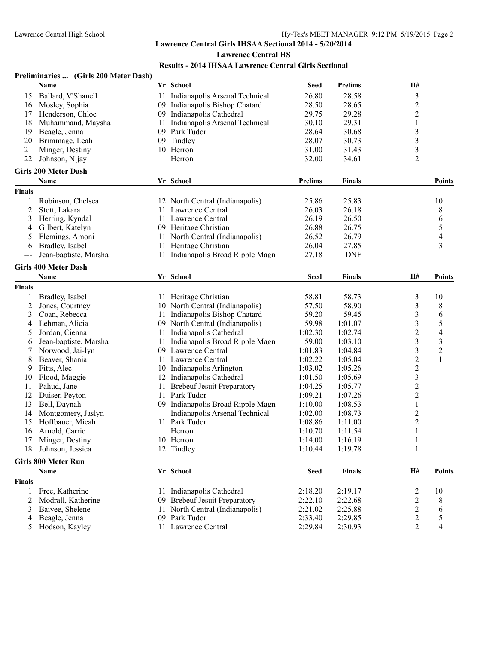#### **Preliminaries ... (Girls 200 Meter Dash) Name Yr School Seed Prelims H#** 15 Ballard, V'Shanell 11 Indianapolis Arsenal Technical 26.80 28.58 3<br>16 Mosley, Sophia 20 09 Indianapolis Bishop Chatard 28.50 28.65 2 16 Mosley, Sophia 09 Indianapolis Bishop Chatard 28.50 28.65 2 17 Henderson, Chloe 09 Indianapolis Cathedral 29.75 29.28 2 18 Muhammand, Maysha 11 Indianapolis Arsenal Technical 30.10 29.31 1<br>19 Beagle, Jenna 1 09 Park Tudor 28.64 30.68 3 19 Beagle, Jenna 19 09 Park Tudor 19 28.64 30.68 3<br>
20 Brimmage, Leah 19 09 Tindley 19 28.07 30.73 3 20 Brimmage, Leah 09 Tindley 28.07 30.73 3 21 Minger, Destiny 10 Herron 31.00 31.43 3<br>22 Johnson Nijav Herron 32.00 34.61 2 22 Johnson, Nijay Herron 32.00 34.61 2 **Girls 200 Meter Dash Name Yr School Prelims Finals Points Finals** 1 Robinson, Chelsea 12 North Central (Indianapolis) 25.86 25.83 10 2 Stott, Lakara 11 Lawrence Central 26.03 26.18 8 3 Herring, Kyndal 11 Lawrence Central 26.19 26.50 6 4 Gilbert, Katelyn 199 Heritage Christian 26.88 26.75 5 5 Flemings, Amoni 11 North Central (Indianapolis) 26.52 26.79 4 6 Bradley, Isabel 11 Heritage Christian 26.04 27.85 3<br>
-- Jean-baptiste, Marsha 11 Indianapolis Broad Ripple Magn 27.18 DNF --- Jean-baptiste, Marsha 11 Indianapolis Broad Ripple Magn 27.18 **Girls 400 Meter Dash Name Yr School Seed Finals H# Points Finals** 1 Bradley, Isabel 11 Heritage Christian 58.81 58.73 3 10 2 Jones, Courtney 10 North Central (Indianapolis) 57.50 58.90 3 8 3 Coan, Rebecca 11 Indianapolis Bishop Chatard 59.20 59.45 3 6<br>4 Lehman, Alicia 69 O9 North Central (Indianapolis) 59.98 1:01.07 3 5 4 Lehman, Alicia 11 Indianapolis (Indianapolis) 59.98 1:01.07 3<br>5 Jordan, Cienna 11 Indianapolis Cathedral 1:02.30 1:02.74 2 5 Jordan, Cienna 11 Indianapolis Cathedral 1:02.30 1:02.74 2 4 6 Jean-baptiste, Marsha 11 Indianapolis Broad Ripple Magn 59.00 1:03.10 3 3<br>
7 Norwood, Jai-lyn 109 Lawrence Central 1:01.83 1:04.84 3 2 7 Norwood, Jai-lyn 109 Lawrence Central 1:01.83 1:04.84 3<br>18 Beaver, Shania 11 Lawrence Central 1:02.22 1:05.04 2 8 Beaver, Shania 11 Lawrence Central 1:02.22 1:05.04 2 1<br>
9 Fitts, Alec 10 Indianapolis Arlington 1:03.02 1:05.26 2 9 Fitts, Alec 10 Indianapolis Arlington 1:03.02 1:05.26 2<br>10 Indianapolis Cathedral 1:01.50 1:05.69 3 10 Flood, Maggie 12 Indianapolis Cathedral 1:01.50 1:05.69 3<br>11 Pahud, Jane 11 Brebeuf Jesuit Preparatory 1:04.25 1:05.77 2 11 Pahud, Jane 11 Brebeuf Jesuit Preparatory 1:04.25 1:05.77 2<br>12 Duiser, Peyton 11 Park Tudor 1:09.21 1:07.26 2 12 Duiser, Peyton 11 Park Tudor 1:09.21 1:07.26 2 13 Bell, Daynah 09 Indianapolis Broad Ripple Magn 1:10.00 1:08.53 1 14 Montgomery, Jaslyn Indianapolis Arsenal Technical 1:02.00 1:08.73 2 15 Hoffbauer, Micah 11 Park Tudor 1:08.86 1:11.00 2<br>16 Arnold, Carrie 11 Park Tudor 1:10.70 1:11.54 1 16 Arnold, Carrie **Herron** Herron 1:10.70 17 Minger, Destiny 10 Herron 1:14.00 1:16.19 1 18 Johnson, Jessica 12 Tindley 1:10.44 1:19.78 1 **Girls 800 Meter Run Name Yr School Seed Finals H# Points Finals** 1 Free, Katherine 11 Indianapolis Cathedral 2:18.20 2:19.17 2 10<br>2 Modrall, Katherine 09 Brebeuf Jesuit Preparatory 2:22.10 2:22.68 2 8 2 Modrall, Katherine 109 Brebeuf Jesuit Preparatory 2:22.10 2:22.68 2 8<br>3 Baiyee, Shelene 11 North Central (Indianapolis) 2:21.02 2:25.88 2 6 3 Baiyee, Shelene 11 North Central (Indianapolis) 2:21.02 2:25.88 2 6<br>4 Beagle, Jenna 2 6 09 Park Tudor 2:33.40 2:29.85 2 5

4 Beagle, Jenna 09 Park Tudor 2:33.40 2:29.85 2 5 5 Hodson, Kayley 11 Lawrence Central 2:29.84 2:30.93 2 4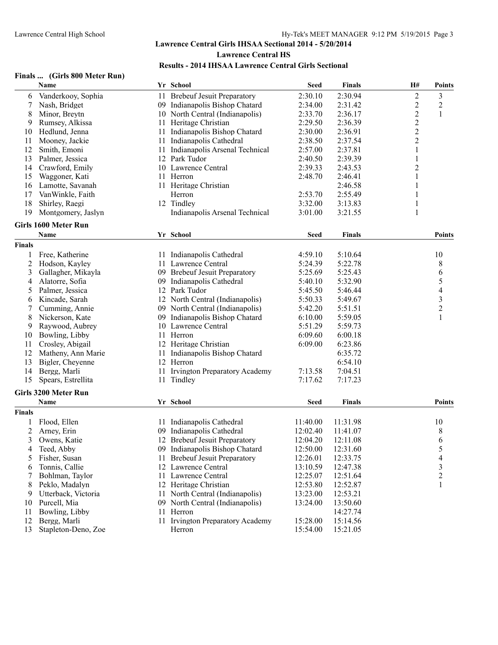**Finals ... (Girls 800 Meter Run)**

## **Lawrence Central Girls IHSAA Sectional 2014 - 5/20/2014 Lawrence Central HS Results - 2014 IHSAA Lawrence Central Girls Sectional**

|                | Name                 | Yr School                         | <b>Seed</b> | <b>Finals</b> | H#                      | <b>Points</b>  |
|----------------|----------------------|-----------------------------------|-------------|---------------|-------------------------|----------------|
| 6              | Vanderkooy, Sophia   | 11 Brebeuf Jesuit Preparatory     | 2:30.10     | 2:30.94       | $\overline{c}$          | 3              |
| 7              | Nash, Bridget        | 09 Indianapolis Bishop Chatard    | 2:34.00     | 2:31.42       | $\overline{\mathbf{c}}$ | $\overline{c}$ |
| 8              | Minor, Breytn        | 10 North Central (Indianapolis)   | 2:33.70     | 2:36.17       | $\overline{c}$          | 1              |
| 9              | Rumsey, Alkissa      | 11 Heritage Christian             | 2:29.50     | 2:36.39       |                         |                |
| 10             | Hedlund, Jenna       | 11 Indianapolis Bishop Chatard    | 2:30.00     | 2:36.91       | $\frac{2}{2}$           |                |
| 11             | Mooney, Jackie       | 11 Indianapolis Cathedral         | 2:38.50     | 2:37.54       | $\overline{c}$          |                |
| 12             | Smith, Emoni         | 11 Indianapolis Arsenal Technical | 2:57.00     | 2:37.81       | 1                       |                |
| 13             | Palmer, Jessica      | 12 Park Tudor                     | 2:40.50     | 2:39.39       | 1                       |                |
| 14             | Crawford, Emily      | 10 Lawrence Central               | 2:39.33     | 2:43.53       | 2                       |                |
| 15             | Waggoner, Kati       | 11 Herron                         | 2:48.70     | 2:46.41       | 1                       |                |
| 16             | Lamotte, Savanah     | 11 Heritage Christian             |             | 2:46.58       | 1                       |                |
| 17             | VanWinkle, Faith     | Herron                            | 2:53.70     | 2:55.49       |                         |                |
| 18             | Shirley, Raegi       | 12 Tindley                        | 3:32.00     | 3:13.83       | 1                       |                |
| 19             | Montgomery, Jaslyn   | Indianapolis Arsenal Technical    | 3:01.00     | 3:21.55       | 1                       |                |
|                | Girls 1600 Meter Run |                                   |             |               |                         |                |
|                | Name                 | Yr School                         | <b>Seed</b> | <b>Finals</b> |                         | Points         |
| <b>Finals</b>  |                      |                                   |             |               |                         |                |
|                | Free, Katherine      | 11 Indianapolis Cathedral         | 4:59.10     | 5:10.64       |                         | 10             |
| $\overline{c}$ | Hodson, Kayley       | 11 Lawrence Central               | 5:24.39     | 5:22.78       |                         | 8              |
| 3              | Gallagher, Mikayla   | 09 Brebeuf Jesuit Preparatory     | 5:25.69     | 5:25.43       |                         | 6              |
| 4              | Alatorre, Sofia      | 09 Indianapolis Cathedral         | 5:40.10     | 5:32.90       |                         | 5              |
| 5              | Palmer, Jessica      | 12 Park Tudor                     | 5:45.50     | 5:46.44       |                         | 4              |
| 6              | Kincade, Sarah       | 12 North Central (Indianapolis)   | 5:50.33     | 5:49.67       |                         | 3              |
|                | Cumming, Annie       | 09 North Central (Indianapolis)   | 5:42.20     | 5:51.51       |                         | $\overline{c}$ |
| 8              | Nickerson, Kate      | 09 Indianapolis Bishop Chatard    | 6:10.00     | 5:59.05       |                         | 1              |
| 9              | Raywood, Aubrey      | 10 Lawrence Central               | 5:51.29     | 5:59.73       |                         |                |
| 10             | Bowling, Libby       | 11 Herron                         | 6:09.60     | 6:00.18       |                         |                |
| 11             | Crosley, Abigail     | 12 Heritage Christian             | 6:09.00     | 6:23.86       |                         |                |
| 12             | Matheny, Ann Marie   | 11 Indianapolis Bishop Chatard    |             | 6:35.72       |                         |                |
| 13             | Bigler, Cheyenne     | 12 Herron                         |             | 6:54.10       |                         |                |
| 14             | Bergg, Marli         | 11 Irvington Preparatory Academy  | 7:13.58     | 7:04.51       |                         |                |
| 15             | Spears, Estrellita   | 11 Tindley                        | 7:17.62     | 7:17.23       |                         |                |
|                | Girls 3200 Meter Run |                                   |             |               |                         |                |
|                | Name                 | Yr School                         | <b>Seed</b> | <b>Finals</b> |                         | Points         |
| <b>Finals</b>  |                      |                                   |             |               |                         |                |
| 1              | Flood, Ellen         | 11 Indianapolis Cathedral         | 11:40.00    | 11:31.98      |                         | 10             |
| 2              | Arney, Erin          | 09 Indianapolis Cathedral         | 12:02.40    | 11:41.07      |                         | 8              |
| 3              | Owens, Katie         | 12 Brebeuf Jesuit Preparatory     | 12:04.20    | 12:11.08      |                         | 6              |
| 4              | Teed, Abby           | 09 Indianapolis Bishop Chatard    | 12:50.00    | 12:31.60      |                         | 5              |
| 5              | Fisher, Susan        | 11 Brebeuf Jesuit Preparatory     | 12:26.01    | 12:33.75      |                         | 4              |
| 6              | Tonnis, Callie       | 12 Lawrence Central               | 13:10.59    | 12:47.38      |                         | 3              |
| 7              | Bohlman, Taylor      | 11 Lawrence Central               | 12:25.07    | 12:51.64      |                         | 2              |
| 8              | Peklo, Madalyn       | 12 Heritage Christian             | 12:53.80    | 12:52.87      |                         | 1              |
| 9              | Utterback, Victoria  | 11 North Central (Indianapolis)   | 13:23.00    | 12:53.21      |                         |                |
| 10             | Purcell, Mia         | 09 North Central (Indianapolis)   | 13:24.00    | 13:50.60      |                         |                |
| 11             | Bowling, Libby       | 11 Herron                         |             | 14:27.74      |                         |                |
|                |                      |                                   |             |               |                         |                |

 Bowling, Libby 11 Herron 14:27.74 12 Bergg, Marli 11 Irvington Preparatory Academy 15:28.00 15:14.56<br>13 Stapleton-Deno, Zoe Herron 15:54.00 15:21.05 Stapleton-Deno, Zoe Herron 15:54.00 15:21.05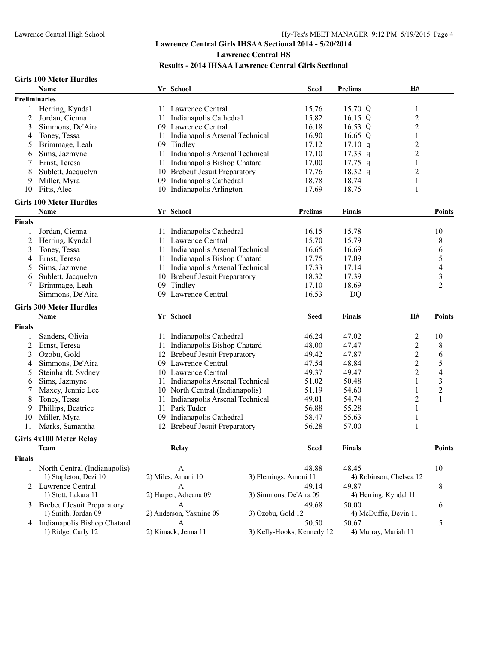#### **Girls 100 Meter Hurdles**

|                      | Name                              |                                                   | Yr School                                   |                                | <b>Seed</b>            | <b>Prelims</b> | H#                      |                          |
|----------------------|-----------------------------------|---------------------------------------------------|---------------------------------------------|--------------------------------|------------------------|----------------|-------------------------|--------------------------|
| <b>Preliminaries</b> |                                   |                                                   |                                             |                                |                        |                |                         |                          |
| 1                    | Herring, Kyndal                   |                                                   | 11 Lawrence Central                         |                                | 15.76                  | 15.70 Q        | 1                       |                          |
| 2                    | Jordan, Cienna                    |                                                   | 11 Indianapolis Cathedral                   |                                | 15.82                  | 16.15 Q        | $\overline{\mathbf{c}}$ |                          |
| 3                    | Simmons, De'Aira                  |                                                   | 09 Lawrence Central                         |                                |                        | 16.53 Q        | $\boldsymbol{2}$        |                          |
| 4                    | Toney, Tessa                      | 11                                                |                                             | Indianapolis Arsenal Technical |                        | 16.65 Q        | $\mathbf{1}$            |                          |
| 5                    | Brimmage, Leah                    |                                                   | 09 Tindley                                  |                                | 16.90<br>17.12         | 17.10 q        | $\overline{c}$          |                          |
| 6                    | Sims, Jazmyne                     |                                                   | 11 Indianapolis Arsenal Technical           |                                | 17.10                  | 17.33 $q$      | $\overline{c}$          |                          |
| 7                    | Ernst, Teresa                     | 11                                                | Indianapolis Bishop Chatard                 |                                | 17.00                  | $17.75$ q      | $\mathbf{1}$            |                          |
| 8                    | Sublett, Jacquelyn                | 10                                                | <b>Brebeuf Jesuit Preparatory</b>           |                                | 17.76                  | 18.32 q        | $\overline{c}$          |                          |
| 9                    | Miller, Myra                      |                                                   | 09 Indianapolis Cathedral                   |                                | 18.78                  | 18.74          | $\mathbf{1}$            |                          |
| 10                   | Fitts, Alec                       |                                                   | 10 Indianapolis Arlington                   |                                | 17.69                  | 18.75          | $\mathbf{1}$            |                          |
|                      |                                   |                                                   |                                             |                                |                        |                |                         |                          |
|                      | <b>Girls 100 Meter Hurdles</b>    |                                                   |                                             |                                |                        |                |                         |                          |
|                      | Name                              |                                                   | Yr School                                   |                                | <b>Prelims</b>         | <b>Finals</b>  |                         | <b>Points</b>            |
| <b>Finals</b>        |                                   |                                                   |                                             |                                |                        |                |                         |                          |
| 1                    | Jordan, Cienna                    |                                                   | 11 Indianapolis Cathedral                   |                                | 16.15                  | 15.78          |                         | 10                       |
| 2                    | Herring, Kyndal                   |                                                   | 11 Lawrence Central                         |                                | 15.70                  | 15.79          |                         | 8                        |
| 3                    | Toney, Tessa                      |                                                   | 11 Indianapolis Arsenal Technical           |                                | 16.65                  | 16.69          |                         | 6                        |
| 4                    | Ernst, Teresa                     |                                                   | 11 Indianapolis Bishop Chatard              |                                | 17.75                  | 17.09          |                         | 5                        |
| 5                    | Sims, Jazmyne                     | 11                                                | Indianapolis Arsenal Technical              |                                | 17.33                  | 17.14          |                         | $\overline{\mathcal{A}}$ |
| 6                    | Sublett, Jacquelyn                | 10                                                | <b>Brebeuf Jesuit Preparatory</b>           |                                | 18.32                  | 17.39          |                         | 3                        |
| 7                    | Brimmage, Leah                    |                                                   | 09 Tindley                                  |                                | 17.10                  | 18.69          |                         | $\overline{2}$           |
| $---$                | Simmons, De'Aira                  |                                                   | 09 Lawrence Central                         |                                | 16.53                  | DQ             |                         |                          |
|                      |                                   |                                                   |                                             |                                |                        |                |                         |                          |
|                      | <b>Girls 300 Meter Hurdles</b>    |                                                   |                                             |                                |                        |                |                         |                          |
|                      | <b>Name</b>                       |                                                   | Yr School                                   |                                | Seed                   | <b>Finals</b>  | H#                      | Points                   |
| <b>Finals</b>        |                                   |                                                   |                                             |                                |                        |                |                         |                          |
| 1                    | Sanders, Olivia                   |                                                   | 11 Indianapolis Cathedral                   |                                | 46.24                  | 47.02          | $\overline{\mathbf{c}}$ | 10                       |
| 2                    | Ernst, Teresa                     | 11                                                | Indianapolis Bishop Chatard                 |                                | 48.00                  | 47.47          | $\overline{\mathbf{c}}$ | $\,8\,$                  |
| 3                    | Ozobu, Gold                       |                                                   | 12 Brebeuf Jesuit Preparatory               |                                | 49.42                  | 47.87          | $\overline{c}$          | 6                        |
| 4                    | Simmons, De'Aira                  |                                                   | 09 Lawrence Central                         |                                | 47.54                  | 48.84          | $\overline{c}$          | $\mathfrak s$            |
| 5                    | Steinhardt, Sydney                |                                                   | 10 Lawrence Central                         |                                | 49.37                  | 49.47          | $\overline{2}$          | $\overline{4}$           |
| 6                    | Sims, Jazmyne                     | 11                                                | Indianapolis Arsenal Technical              |                                | 51.02                  | 50.48          | 1                       | 3                        |
|                      | Maxey, Jennie Lee                 |                                                   | 10 North Central (Indianapolis)             |                                | 51.19                  | 54.60          | 1                       | $\boldsymbol{2}$         |
| 8                    | Toney, Tessa                      | 11                                                | Indianapolis Arsenal Technical              |                                | 49.01                  | 54.74          | $\overline{c}$          | $\mathbf{1}$             |
| 9                    | Phillips, Beatrice                | 11                                                | Park Tudor                                  |                                | 56.88                  | 55.28          | $\mathbf{1}$            |                          |
| 10                   | Miller, Myra                      | 09                                                | Indianapolis Cathedral                      |                                | 58.47                  | 55.63          | $\mathbf{1}$            |                          |
| 11                   | Marks, Samantha                   |                                                   | 12 Brebeuf Jesuit Preparatory               |                                | 56.28                  | 57.00          | $\mathbf{1}$            |                          |
|                      | <b>Girls 4x100 Meter Relay</b>    |                                                   |                                             |                                |                        |                |                         |                          |
|                      | <b>Team</b>                       |                                                   | Relay                                       |                                | <b>Seed</b>            | <b>Finals</b>  |                         | Points                   |
| Finals               |                                   |                                                   |                                             |                                |                        |                |                         |                          |
|                      |                                   |                                                   |                                             |                                |                        |                |                         |                          |
| 1                    | North Central (Indianapolis)      |                                                   | A                                           |                                | 48.88                  | 48.45          |                         | 10                       |
|                      | 1) Stapleton, Dezi 10             |                                                   | 2) Miles, Amani 10<br>3) Flemings, Amoni 11 |                                |                        |                | 4) Robinson, Chelsea 12 |                          |
|                      | 2 Lawrence Central                |                                                   | A                                           |                                | 49.14                  | 49.87          |                         | 8                        |
|                      | 1) Stott, Lakara 11               |                                                   | 2) Harper, Adreana 09                       |                                | 3) Simmons, De'Aira 09 |                | 4) Herring, Kyndal 11   |                          |
| 3                    | <b>Brebeuf Jesuit Preparatory</b> |                                                   | $\mathsf{A}$                                |                                | 49.68                  | 50.00          |                         | 6                        |
|                      | 1) Smith, Jordan 09               |                                                   | 2) Anderson, Yasmine 09                     | 3) Ozobu, Gold 12              |                        |                | 4) McDuffie, Devin 11   |                          |
|                      | 4 Indianapolis Bishop Chatard     |                                                   | $\overline{A}$                              |                                | 50.50                  | 50.67          | 5                       |                          |
|                      | 1) Ridge, Carly 12                | 3) Kelly-Hooks, Kennedy 12<br>2) Kimack, Jenna 11 |                                             |                                | 4) Murray, Mariah 11   |                |                         |                          |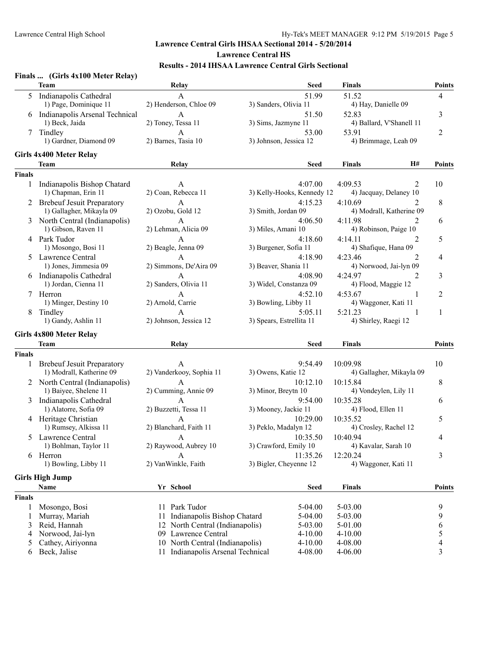|               | Finals  (Girls 4x100 Meter Relay) |                                   |                                     |                                       |                |
|---------------|-----------------------------------|-----------------------------------|-------------------------------------|---------------------------------------|----------------|
|               | <b>Team</b>                       | Relay                             | Seed                                | <b>Finals</b>                         | <b>Points</b>  |
|               | 5 Indianapolis Cathedral          | А                                 | 51.99                               | 51.52                                 | 4              |
|               | 1) Page, Dominique 11             | 2) Henderson, Chloe 09            | 3) Sanders, Olivia 11               | 4) Hay, Danielle 09                   |                |
|               | 6 Indianapolis Arsenal Technical  | A                                 | 51.50                               | 52.83                                 | 3              |
|               | 1) Beck, Jaida                    | 2) Toney, Tessa 11                | 3) Sims, Jazmyne 11                 | 4) Ballard, V'Shanell 11              |                |
| 7             | Tindley                           | A                                 | 53.00                               | 53.91                                 | 2              |
|               | 1) Gardner, Diamond 09            | 2) Barnes, Tasia 10               | 3) Johnson, Jessica 12              | 4) Brimmage, Leah 09                  |                |
|               | Girls 4x400 Meter Relay           |                                   |                                     |                                       |                |
|               | <b>Team</b>                       | Relay                             | Seed                                | <b>Finals</b><br>H#                   | <b>Points</b>  |
| <b>Finals</b> |                                   |                                   |                                     |                                       |                |
|               | 1 Indianapolis Bishop Chatard     | A                                 | 4:07.00                             | 4:09.53<br>2                          | 10             |
|               | 1) Chapman, Erin 11               | 2) Coan, Rebecca 11               | 3) Kelly-Hooks, Kennedy 12          | 4) Jacquay, Delaney 10                |                |
|               | 2 Brebeuf Jesuit Preparatory      | A                                 | 4:15.23                             | 4:10.69<br>2                          | 8              |
|               | 1) Gallagher, Mikayla 09          | 2) Ozobu, Gold 12                 | 3) Smith, Jordan 09                 | 4) Modrall, Katherine 09              |                |
|               | North Central (Indianapolis)      | $\overline{A}$                    | 4:06.50                             | 4:11.98<br>2                          | 6              |
|               | 1) Gibson, Raven 11               | 2) Lehman, Alicia 09              | 3) Miles, Amani 10                  | 4) Robinson, Paige 10                 |                |
|               | 4 Park Tudor                      | A                                 | 4:18.60                             | 4:14.11<br>2                          | 5              |
|               | 1) Mosongo, Bosi 11               | 2) Beagle, Jenna 09               | 3) Burgener, Sofia 11               | 4) Shafique, Hana 09                  |                |
| 5             | Lawrence Central                  | A                                 | 4:18.90                             | 4:23.46<br>$\mathfrak{D}$             | 4              |
|               | 1) Jones, Jimmesia 09             | 2) Simmons, De'Aira 09            | 3) Beaver, Shania 11                | 4) Norwood, Jai-lyn 09                |                |
|               | 6 Indianapolis Cathedral          | A                                 | 4:08.90                             | 4:24.97<br>2                          | 3              |
|               | 1) Jordan, Cienna 11              | 2) Sanders, Olivia 11             | 3) Widel, Constanza 09              | 4) Flood, Maggie 12                   |                |
|               | 7 Herron                          | А                                 | 4:52.10                             | 4:53.67<br>1                          | $\overline{c}$ |
|               | 1) Minger, Destiny 10             | 2) Arnold, Carrie                 | 3) Bowling, Libby 11                | 4) Waggoner, Kati 11                  |                |
| 8             | Tindley<br>1) Gandy, Ashlin 11    | A<br>2) Johnson, Jessica 12       | 5:05.11<br>3) Spears, Estrellita 11 | 5:21.23<br>-1<br>4) Shirley, Raegi 12 | 1              |
|               |                                   |                                   |                                     |                                       |                |
|               | Girls 4x800 Meter Relay           |                                   |                                     |                                       |                |
|               | <b>Team</b>                       | Relay                             | <b>Seed</b>                         | <b>Finals</b>                         | <b>Points</b>  |
| <b>Finals</b> |                                   |                                   |                                     |                                       |                |
|               | <b>Brebeuf Jesuit Preparatory</b> | A                                 | 9:54.49                             | 10:09.98                              | 10             |
|               | 1) Modrall, Katherine 09          | 2) Vanderkooy, Sophia 11          | 3) Owens, Katie 12                  | 4) Gallagher, Mikayla 09              |                |
|               | 2 North Central (Indianapolis)    | A                                 | 10:12.10                            | 10:15.84                              | 8              |
|               | 1) Baiyee, Shelene 11             | 2) Cumming, Annie 09              | 3) Minor, Breytn 10                 | 4) Vondeylen, Lily 11                 |                |
| 3             | Indianapolis Cathedral            | $\mathbf{A}$                      | 9:54.00                             | 10:35.28                              | 6              |
|               | 1) Alatorre, Sofia 09             | 2) Buzzetti, Tessa 11             | 3) Mooney, Jackie 11                | 4) Flood, Ellen 11                    |                |
|               | 4 Heritage Christian              | A                                 | 10:29.00                            | 10:35.52                              | 5              |
|               | 1) Rumsey, Alkissa 11             | 2) Blanchard, Faith 11            | 3) Peklo, Madalyn 12                | 4) Crosley, Rachel 12                 |                |
| 5             | Lawrence Central                  | A                                 | 10:35.50                            | 10:40.94                              | 4              |
|               | 1) Bohlman, Taylor 11             | 2) Raywood, Aubrey 10             | 3) Crawford, Emily 10               | 4) Kavalar, Sarah 10                  |                |
|               | 6 Herron                          | A                                 | 11:35.26                            | 12:20.24                              | 3              |
|               | 1) Bowling, Libby 11              | 2) VanWinkle, Faith               | 3) Bigler, Cheyenne 12              | 4) Waggoner, Kati 11                  |                |
|               | <b>Girls High Jump</b>            |                                   |                                     |                                       |                |
|               | Name                              | Yr School                         | <b>Seed</b>                         | <b>Finals</b>                         | <b>Points</b>  |
| <b>Finals</b> |                                   |                                   |                                     |                                       |                |
| 1             | Mosongo, Bosi                     | 11 Park Tudor                     | 5-04.00                             | 5-03.00                               | 9              |
|               | Murray, Mariah                    | Indianapolis Bishop Chatard<br>11 | 5-04.00                             | 5-03.00                               | 9              |
| 3             | Reid, Hannah                      | 12 North Central (Indianapolis)   | 5-03.00                             | 5-01.00                               | 6              |
| 4             | Norwood, Jai-lyn                  | 09 Lawrence Central               | $4 - 10.00$                         | $4 - 10.00$                           | 5              |
| 5             | Cathey, Airiyonna                 | 10 North Central (Indianapolis)   | $4 - 10.00$                         | 4-08.00                               | 4              |
| 6             | Beck, Jalise                      | 11 Indianapolis Arsenal Technical | 4-08.00                             | $4 - 06.00$                           | 3              |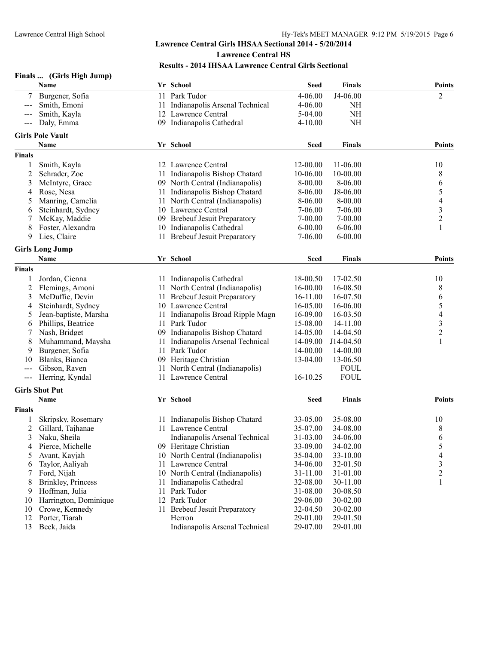|                            | Finals  (Girls High Jump) |     |                                   |             |               |                         |
|----------------------------|---------------------------|-----|-----------------------------------|-------------|---------------|-------------------------|
|                            | Name                      |     | Yr School                         | <b>Seed</b> | <b>Finals</b> | <b>Points</b>           |
|                            | Burgener, Sofia           | 11  | Park Tudor                        | 4-06.00     | J4-06.00      | 2                       |
| $\qquad \qquad \text{---}$ | Smith, Emoni              | 11  | Indianapolis Arsenal Technical    | $4 - 06.00$ | NH            |                         |
|                            | Smith, Kayla              | 12  | Lawrence Central                  | 5-04.00     | <b>NH</b>     |                         |
| $---$                      | Daly, Emma                |     | 09 Indianapolis Cathedral         | $4 - 10.00$ | <b>NH</b>     |                         |
|                            | <b>Girls Pole Vault</b>   |     |                                   |             |               |                         |
|                            | Name                      |     | Yr School                         | <b>Seed</b> | Finals        | <b>Points</b>           |
| <b>Finals</b>              |                           |     |                                   |             |               |                         |
| 1                          | Smith, Kayla              |     | 12 Lawrence Central               | 12-00.00    | 11-06.00      | 10                      |
| 2                          | Schrader, Zoe             | 11- | Indianapolis Bishop Chatard       | 10-06.00    | 10-00.00      | 8                       |
| 3                          | McIntyre, Grace           |     | 09 North Central (Indianapolis)   | 8-00.00     | $8 - 06.00$   | 6                       |
| 4                          | Rose, Nesa                | 11  | Indianapolis Bishop Chatard       | 8-06.00     | J8-06.00      | 5                       |
| 5                          | Manring, Camelia          | 11  | North Central (Indianapolis)      | 8-06.00     | $8 - 00.00$   | 4                       |
| 6                          | Steinhardt, Sydney        |     | 10 Lawrence Central               | 7-06.00     | $7-06.00$     | 3                       |
| 7                          | McKay, Maddie             |     | 09 Brebeuf Jesuit Preparatory     | $7 - 00.00$ | $7 - 00.00$   | $\overline{c}$          |
| 8                          | Foster, Alexandra         |     | 10 Indianapolis Cathedral         | $6 - 00.00$ | $6 - 06.00$   | 1                       |
| 9                          | Lies, Claire              | 11  | <b>Brebeuf Jesuit Preparatory</b> | 7-06.00     | $6 - 00.00$   |                         |
|                            |                           |     |                                   |             |               |                         |
|                            | <b>Girls Long Jump</b>    |     |                                   |             |               |                         |
|                            | Name                      |     | Yr School                         | <b>Seed</b> | Finals        | Points                  |
| <b>Finals</b>              |                           |     |                                   |             |               |                         |
| 1                          | Jordan, Cienna            |     | 11 Indianapolis Cathedral         | 18-00.50    | 17-02.50      | 10                      |
| 2                          | Flemings, Amoni           | 11  | North Central (Indianapolis)      | 16-00.00    | 16-08.50      | 8                       |
| 3                          | McDuffie, Devin           |     | 11 Brebeuf Jesuit Preparatory     | 16-11.00    | 16-07.50      | 6                       |
| 4                          | Steinhardt, Sydney        |     | 10 Lawrence Central               | 16-05.00    | 16-06.00      | 5                       |
| 5                          | Jean-baptiste, Marsha     | 11  | Indianapolis Broad Ripple Magn    | 16-09.00    | 16-03.50      | 4                       |
| 6                          | Phillips, Beatrice        | 11  | Park Tudor                        | 15-08.00    | 14-11.00      | 3                       |
| 7                          | Nash, Bridget             | 09  | Indianapolis Bishop Chatard       | 14-05.00    | 14-04.50      | $\overline{\mathbf{c}}$ |
| 8                          | Muhammand, Maysha         | 11  | Indianapolis Arsenal Technical    | 14-09.00    | J14-04.50     |                         |
| 9                          | Burgener, Sofia           | 11  | Park Tudor                        | 14-00.00    | 14-00.00      |                         |
| 10                         | Blanks, Bianca            | 09. | Heritage Christian                | 13-04.00    | 13-06.50      |                         |
|                            | Gibson, Raven             | 11  | North Central (Indianapolis)      |             | <b>FOUL</b>   |                         |
| $---$                      | Herring, Kyndal           |     | 11 Lawrence Central               | 16-10.25    | <b>FOUL</b>   |                         |
|                            | <b>Girls Shot Put</b>     |     |                                   |             |               |                         |
|                            | Name                      |     | Yr School                         | <b>Seed</b> | Finals        | <b>Points</b>           |
| <b>Finals</b>              |                           |     |                                   |             |               |                         |
|                            | Skripsky, Rosemary        | 11  | Indianapolis Bishop Chatard       | 33-05.00    | 35-08.00      | 10                      |
| 2                          | Gillard, Tajhanae         |     | 11 Lawrence Central               | 35-07.00    | 34-08.00      | 8                       |
| 3                          | Naku, Sheila              |     | Indianapolis Arsenal Technical    | 31-03.00    | 34-06.00      | 6                       |
| 4                          | Pierce, Michelle          |     | 09 Heritage Christian             | 33-09.00    | 34-02.00      | 5                       |
| 5                          | Avant, Kayjah             |     | 10 North Central (Indianapolis)   | 35-04.00    | 33-10.00      | 4                       |
| 6                          | Taylor, Aaliyah           |     | 11 Lawrence Central               | 34-06.00    | 32-01.50      | 3                       |
| 7                          | Ford, Nijah               |     | 10 North Central (Indianapolis)   | 31-11.00    | 31-01.00      | 2                       |
| 8                          | Brinkley, Princess        | 11  | Indianapolis Cathedral            | 32-08.00    | 30-11.00      |                         |
| 9                          | Hoffman, Julia            | 11  | Park Tudor                        | 31-08.00    | 30-08.50      |                         |
| 10                         | Harrington, Dominique     |     | 12 Park Tudor                     | 29-06.00    | 30-02.00      |                         |
| 10                         | Crowe, Kennedy            |     | 11 Brebeuf Jesuit Preparatory     | 32-04.50    | 30-02.00      |                         |
| 12                         | Porter, Tiarah            |     | Herron                            | 29-01.00    | 29-01.50      |                         |
| 13                         | Beck, Jaida               |     | Indianapolis Arsenal Technical    | 29-07.00    | 29-01.00      |                         |